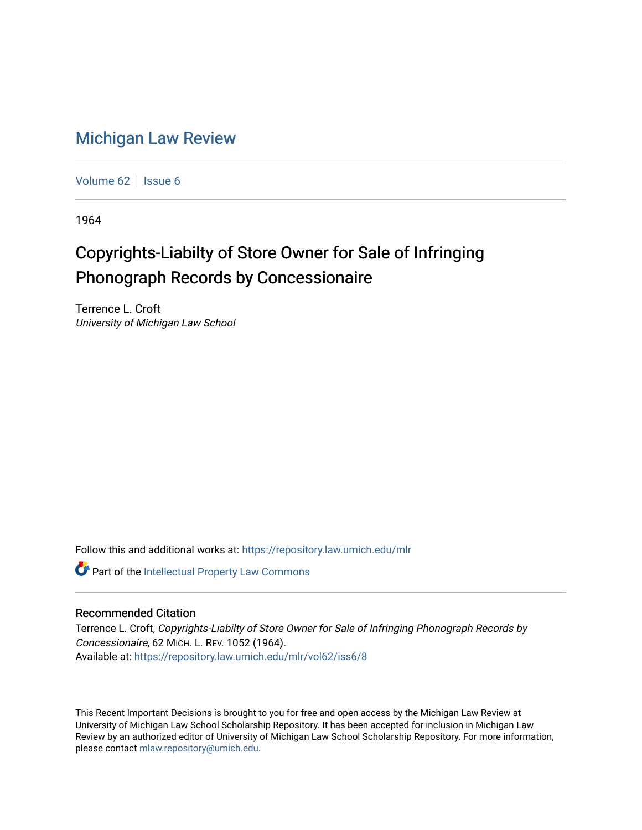## [Michigan Law Review](https://repository.law.umich.edu/mlr)

[Volume 62](https://repository.law.umich.edu/mlr/vol62) | [Issue 6](https://repository.law.umich.edu/mlr/vol62/iss6)

1964

## Copyrights-Liabilty of Store Owner for Sale of Infringing Phonograph Records by Concessionaire

Terrence L. Croft University of Michigan Law School

Follow this and additional works at: [https://repository.law.umich.edu/mlr](https://repository.law.umich.edu/mlr?utm_source=repository.law.umich.edu%2Fmlr%2Fvol62%2Fiss6%2F8&utm_medium=PDF&utm_campaign=PDFCoverPages) 

Part of the [Intellectual Property Law Commons](http://network.bepress.com/hgg/discipline/896?utm_source=repository.law.umich.edu%2Fmlr%2Fvol62%2Fiss6%2F8&utm_medium=PDF&utm_campaign=PDFCoverPages) 

## Recommended Citation

Terrence L. Croft, Copyrights-Liabilty of Store Owner for Sale of Infringing Phonograph Records by Concessionaire, 62 MICH. L. REV. 1052 (1964). Available at: [https://repository.law.umich.edu/mlr/vol62/iss6/8](https://repository.law.umich.edu/mlr/vol62/iss6/8?utm_source=repository.law.umich.edu%2Fmlr%2Fvol62%2Fiss6%2F8&utm_medium=PDF&utm_campaign=PDFCoverPages)

This Recent Important Decisions is brought to you for free and open access by the Michigan Law Review at University of Michigan Law School Scholarship Repository. It has been accepted for inclusion in Michigan Law Review by an authorized editor of University of Michigan Law School Scholarship Repository. For more information, please contact [mlaw.repository@umich.edu.](mailto:mlaw.repository@umich.edu)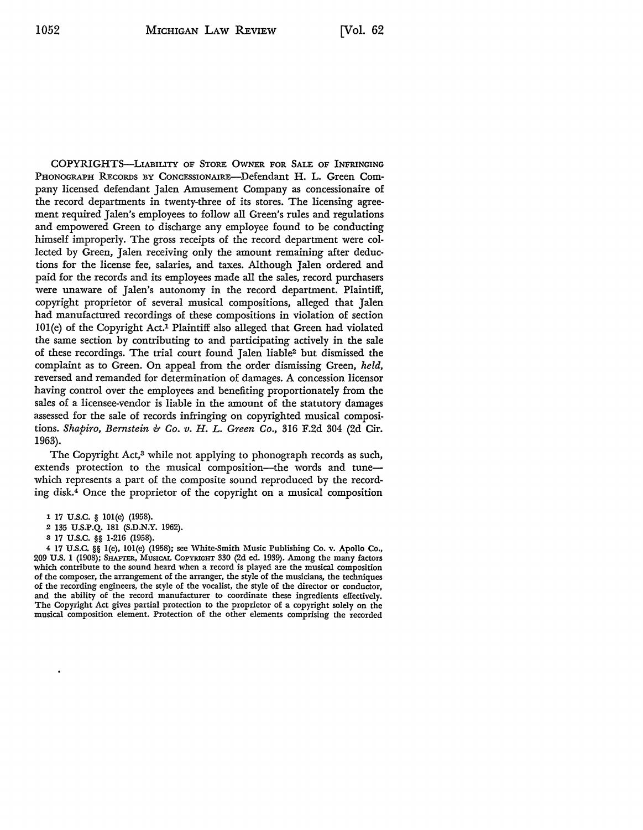COPYRIGHTS-LIABILITY OF STORE OWNER FOR SALE OF INFRINGING PHONOGRAPH RECORDS BY CONCESSIONAIRE-Defendant H. L. Green Company licensed defendant Jalen Amusement Company as concessionaire of the record departments in twenty-three of its stores. The licensing agreement required Jalen's employees to follow all Green's rules and regulations and empowered Green to discharge any employee found to be conducting himself improperly. The gross receipts of the record department were collected by Green, Jalen receiving only the amount remaining after deductions for the license fee, salaries, and taxes. Although Jalen ordered and paid for the records and its employees made all the sales, record purchasers were unaware of Jalen's autonomy in the record department. Plaintiff, copyright proprietor of several musical compositions, alleged that Jalen had manufactured recordings of these compositions in violation of section IOI(e) of the Copyright Act.1 Plaintiff also alleged that Green had violated the same section by contributing to and participating actively in the sale of these recordings. The trial court found Jalen liable<sup>2</sup> but dismissed the complaint as to Green. On appeal from the order dismissing Green, *held,*  reversed and remanded for determination of damages. A concession licensor having control over the employees and benefiting proportionately from the sales of a licensee-vendor is liable in the amount of the statutory damages assessed for the sale of records infringing on copyrighted musical compositions. *Shapiro, Bernstein b Co. v. H. L. Green Co.,* 316 F.2d 304 (2d Cir. 1963).

The Copyright Act,<sup>3</sup> while not applying to phonograph records as such, extends protection to the musical composition-the words and tunewhich represents a part of the composite sound reproduced by the recording disk.4 Once the proprietor of the copyright on a musical composition

- 1 17 U.S.C. § l0l(e) (1958).
- 2 135 U.S.P.Q. 181 (S.D.N.Y. 1962).
- s **17 u.s.c.** §§ **1-216** (1958).

4 17 U.S.C. §§ l(e), l0l(e) (1958); see White-Smith Music Publishing Co. v. Apollo Co., 209 U.S. 1 (1908); SHAFTER, MUSICAL COPYRIGHT 330 (2d ed. 1939). Among the many factors which contribute to the sound heard when a record is played are the musical composition of the composer, the arrangement of the arranger, the style of the musicians, the techniques of the recording engineers, the style of the vocalist, the style of the director or conductor, and the ability of the record manufacturer to coordinate these ingredients effectively. The Copyright Act gives partial protection to the proprietor of a copyright solely on the musical composition element. Protection of the other elements comprising the recorded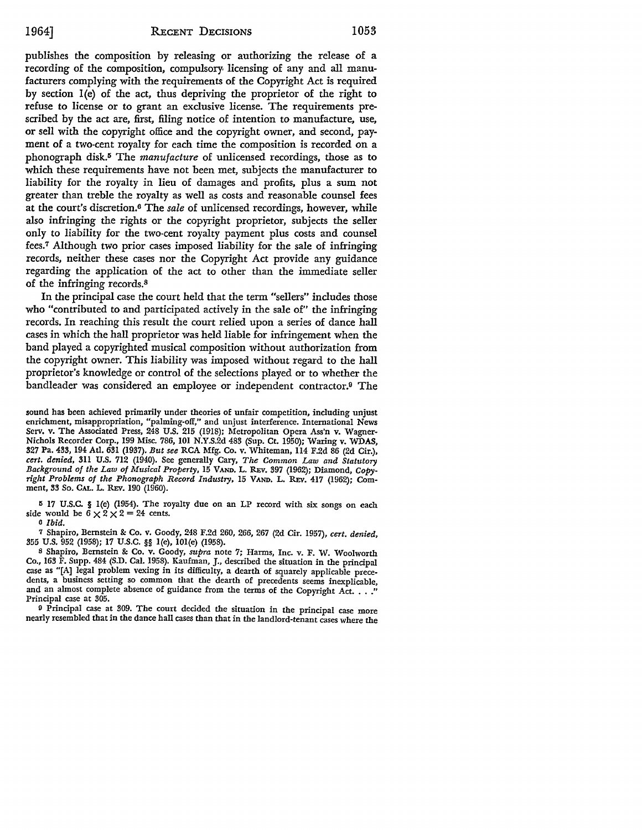publishes the composition by releasing or authorizing the release of a recording of the composition, compulsory, licensing of any and all manufacturers complying with the requirements of the Copyright Act is required by section l(e) of the act, thus depriving the proprietor of the right to refuse to license or to grant an exclusive license. The requirements prescribed by the act are, first, filing notice of intention to manufacture, use, or sell with the copyright office and the copyright owner, and second, payment of a two-cent royalty for each time the composition is recorded on a phonograph disk.I• The *manufacture* of unlicensed recordings, those as to which these requirements have not been met, subjects the manufacturer to liability for the royalty in lieu of damages and profits, plus a sum not greater than treble the royalty as well as costs and reasonable counsel fees at the court's discretion.6 The *sale* of unlicensed recordings, however, while also infringing the rights or the copyright proprietor, subjects the seller only to liability for the two-cent royalty payment plus costs and counsel fees.7 Although two prior cases imposed liability for the sale of infringing records, neither these cases nor the Copyright Act provide any guidance regarding the application of the act to other than the immediate seller of the infringing records. <sup>8</sup>

In the principal case the court held that the term "sellers" includes those who "contributed to and participated actively in the sale of" the infringing records. In reaching this result the court relied upon a series of dance hall cases in which the hall proprietor was held liable for infringement when the band played a copyrighted musical composition without authorization from the copyright owner. This liability was imposed without regard to the hall proprietor's knowledge or control of the selections played or to whether the bandleader was considered an employee or independent contractor.9 The

sound has been achieved primarily under theories of unfair competition, including unjust enrichment, misappropriation, "palming-off," and unjust interference. International News Serv. v. The Associated Press, 248 U.S. 215 (1918); Metropolitan Opera Ass'n v. Wagner-Nichols Recorder Corp., 199 Misc. 786, 101 N.Y.S.2d 483 (Sup. Ct. 1950); Waring v. WDAS, 327 Pa. 433, 194 Atl. 631 (1937). *But see* RCA Mfg. Co. v. Whiteman, ll4 F.2d 86 (2d Cir.), *cert. denied,* 3ll U.S. 712 (1940). See generally Cary, *The Common Law and Statutory Background of the Law of Musical Property,* 15 VAND. L. REv. 397 (1962); Diamond, *Copyright Problems of the Phonograph Record Industry,* 15 VAND. L. REv. 417 (1962); Comment, 33 So. CAL. L. REv. 190 (1960).

<sup>5</sup>17 U.S.C. § l(e) (1954). The royalty due on an LP record with six songs on each side would be  $6 \times 2 \times 2 = 24$  cents.

o *Ibid.* 

7 Shapiro, Bernstein & Co. v. Goody, 248 F.2d 260, 266, 267 (2d Cir. 1957), *cert. denied,*  355 U.S. 952 (1958); 17 U.S.C. §§ l(e), I0I(e) (1958).

8 Shapiro, Bernstein & Co. v. Goody, *supra* note 7; Harms, Inc. v. F. W. Woolworth Co., 163 F. Supp. 484 (S.D. Cal. 1958). Kaufman, J., described the situation in the principal case as "[A] legal problem vexing in its difficulty, a dearth of squarely applicable precedents, a business setting so common that the dearth of precedents seems inexplicable, and an almost complete absence of guidance from the terms of the Copyright Act. . . ." Principal case at 305.

<sup>9</sup>Principal case at 309. The court decided the situation in the principal case more nearly resembled that in the dance hall cases than that in the landlord-tenant cases where the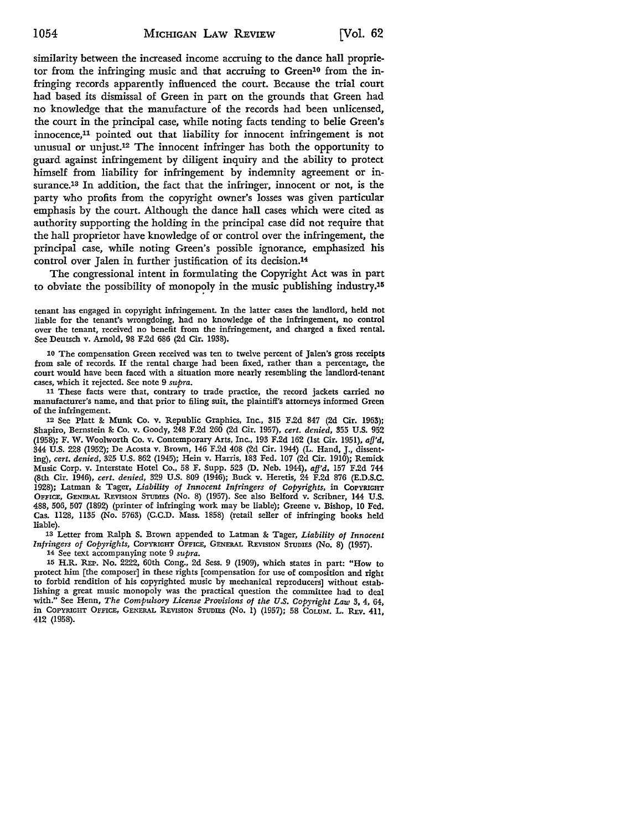similarity between the increased income accruing to the dance hall proprietor from the infringing music and that accruing to Green<sup>10</sup> from the infringing records apparently influenced the court. Because the trial court had based its dismissal of Green in part on the grounds that Green had no knowledge that the manufacture of the records had been unlicensed, the court in the principal case, while noting facts tending to belie Green's innocence,11 pointed out that liability for innocent infringement is not unusual or unjust.12 The innocent infringer has both the opportunity to guard against infringement by diligent inquiry and the ability to protect himself from liability for infringement by indemnity agreement or insurance.<sup>13</sup> In addition, the fact that the infringer, innocent or not, is the party who profits from the copyright owner's losses was given particular emphasis by the court. Although the dance hall cases which were cited as authority supporting the holding in the principal case did not require that the hall proprietor have knowledge of or control over the infringement, the principal case, while noting Green's possible ignorance, emphasized his control over Jalen in further justification of its decision.14

The congressional intent in formulating the Copyright Act was in part to obviate the possibility of monopoly in the music publishing industry.<sup>15</sup>

tenant has engaged in copyright infringement. In the latter cases the landlord, held not liable for the tenant's wrongdoing, had no knowledge of the infringement, no control over the tenant, received no benefit from the infringement, and charged a fixed rental. See Deutsch v. Arnold, 98 F.2d 686 (2d Cir. 1938).

10 The compensation Green received was ten to twelve percent of Jalen's gross receipts from sale of records. If the rental charge had been fixed, rather than a percentage, the court would have been faced with a situation more nearly resembling the landlord-tenant cases, which it rejected. See note 9 *supra.* 

11 These facts were that, contrary to trade practice, the record jackets carried no manufacturer's name, and that prior to filing suit, the plaintiff's attorneys informed Green of the infringement.

12 See Platt & Munk Co. v. Republic Graphics, Inc., 315 F.2d 847 (2d Cir. 1963); Shapiro, Bernstein & Co. v. Goody, 248 F.2d 260 (2d Cir. 1957), *cert. denied,* 355 U.S. 952 (1958); F. W. Woolworth Co. v. Contemporary Arts, Inc., 193 F.2d 162 (1st Cir. 1951), *aff'd,*  344 U.S. 228 (1952); De Acosta v. Brown, 146 F.2d 408 (2d Cir. 1944) (L. Hand, J., dissenting), *cert. denied,* 325 U.S. 862 (1945); Hein v. Harris, 183 Fed. 107 (2d Cir. 1910); Remick Music Corp. v. Interstate Hotel Co., 58 F. Supp. 523 (D. Neb. 1944), *aff'd,* 157 F.2d 744 (8th Cir. 1946), *cert. denied,* 329 U.S. 809 (1946); Buck v. Heretis, 24 F.2d 876 (E.D.S.C. 1928); Latman & Tager, *Liability of Innocent Infringers of Copyrights,* in COPYRIGHT OFFICE, GENERAL REVISION STUDIES (No. 8) (1957). See also Belford v. Scribner, 144 U.S. 488, 506, 507 (1892) (printer of infringing work may be liable): Greene v. Bishop, IO Fed. Cas. 1128, 1135 (No. 5763) (C.C.D. Mass. 1858) (retail seller of infringing books held liable).

13 Letter from Ralph S. Brown appended to Latman & Tager, *Liability of Innocent Infringers of Copyrights, COPYRIGHT OFFICE, GENERAL REVISION STUDIES (No. 8) (1957).* 

14 See text accompanying note 9 *supra.* 

15 H.R. REP. No. 2222, 60th Cong., 2d Sess. 9 (1909), which states in part: "How to protect him [the composer] in these rights [compensation for use of composition and right to forbid rendition of his copyrighted music by mechanical reproducers] without establishing a great music monopoly was the practical question the committee had to deal with." See Henn, *The Compulsory License Provisions of the U.S. Copyright Law* 3, 4, 64, in COPYRIGHT OFFICE, GENERAL REVISION STUDIES (No. 1) (1957); 58 COLUM. L. REV. 411, 412 (1958).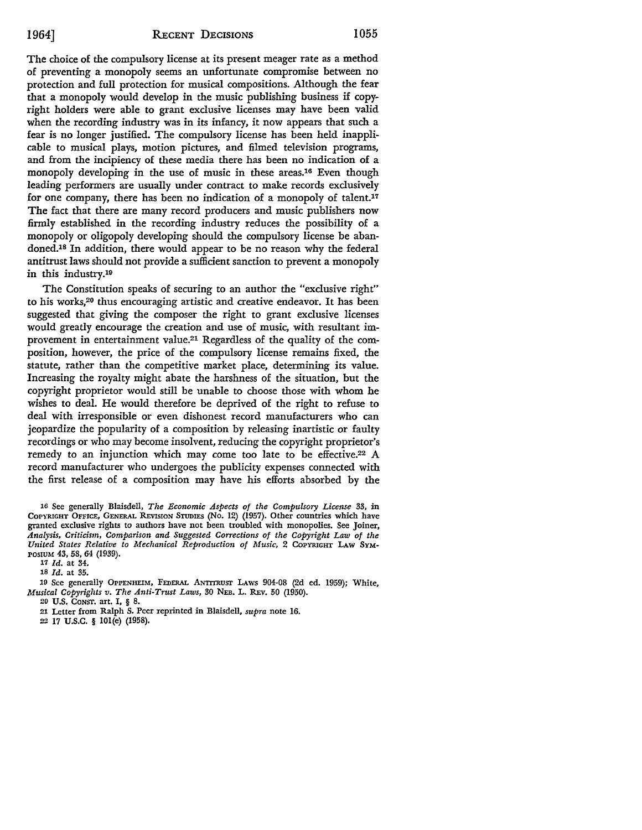The choice of the compulsory license at its present meager rate as a method of preventing a monopoly seems an unfortunate compromise between no protection and full protection for musical compositions. Although the fear that a monopoly would develop in the music publishing business if copyright holders were able to grant exclusive licenses may have been valid when the recording industry was in its infancy, it now appears that such a fear is no longer justified. The compulsory license has been held inapplicable to musical plays, motion pictures, and filmed television programs, and from the incipiency of these media there has been no indication of a monopoly developing in the use of music in these areas.16 Even though leading performers are usually under contract to make records exclusively for one company, there has been no indication of a monopoly of talent.17 The fact that there are many record producers and music publishers now firmly established in the recording industry reduces the possibility of a monopoly or oligopoly developing should the compulsory license be abandoned.18 In addition, there would appear to be no reason why the federal antitrust laws should not provide a sufficient sanction to prevent a monopoly in this industry.19

The Constitution speaks of securing to an author the "exclusive right" to his works,20 thus encouraging artistic and creative endeavor. It has been suggested that giving the composer the right to grant exclusive licenses would greatly encourage the creation and use of music, with resultant improvement in entertainment value.21 Regardless of the quality of the composition, however, the price of the compulsory license remains fixed, the statute, rather than the competitive market place, determining its value. Increasing the royalty might abate the harshness of the situation, but the copyright proprietor would still be unable to choose those with whom he wishes to deal. He would therefore be deprived of the right to refuse to deal with irresponsible or even dishonest record manufacturers who can jeopardize the popularity of a composition by releasing inartistic or faulty recordings or who may become insolvent, reducing the copyright proprietor's remedy to an injunction which may come too late to be effective.<sup>22</sup> A record manufacturer who undergoes the publicity expenses connected with the first release of a composition may have his efforts absorbed by the

16 See generally Blaisdell, *The Economic Aspects of the Compulsory License* 33, in COPYRIGHT OFFICE, GENERAL REvlsION STUDIES (No. 12) (1957). Other countries which have granted exclusive rights to authors have not been troubled with monopolies. See Joiner, *Analysis, Criticism, Comparison and Suggested Corrections of the Copyright Law of the United States Relative to Mechanical Reproduction of Music,* 2 COPYRIGHT LAW SYM-POSIUM 43, 58, 64 (1939).

11 *Id.* at 34.

18 *Id.* at 35.

19 See generally OPPENHEIM, FEDERAL ANTITRUST LAWS 904-08 (2d ed. 1959); White, *Musical Copyrights v. The Anti-Trust Laws, 30 NEB. L. REV. 50 (1950).* 

.20 U.S. CoNsr. art. I, § 8 .

.21 Letter from Ralph S. Peer reprinted in Blaisdell, *supra* note 16 .

.22 17 U.S.C. § IOl(e) (1958).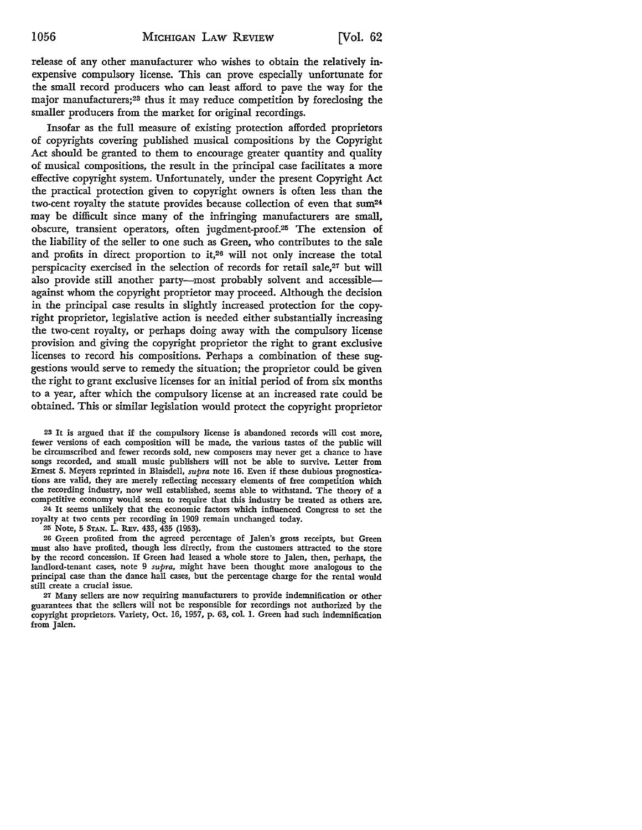release of any other manufacturer who wishes to obtain the relatively inexpensive compulsory license. This can prove especially unfortunate for the small record producers who can least afford to pave the way for the major manufacturers;23 thus it may reduce competition by foreclosing the smaller producers from the market for original recordings.

Insofar as the full measure of existing protection afforded proprietors of copyrights covering published musical compositions by the Copyright Act should be granted to them to encourage greater quantity and quality of musical compositions, the result in the principal case facilitates a more effective copyright system. Unfortunately, under the present Copyright Act the practical protection given to copyright owners is often less than the two-cent royalty the statute provides because collection of even that  $sum<sup>24</sup>$ may be difficult since many of the infringing manufacturers are small, obscure, transient operators, often jugdment-proof.25 The extension of the liability of the seller to one such as Green, who contributes to the sale and profits in direct proportion to it,<sup>26</sup> will not only increase the total perspicacity exercised in the selection of records for retail sale,<sup>27</sup> but will also provide still another party-most probably solvent and accessibleagainst whom the copyright proprietor may proceed. Although the decision in the principal case results in slightly increased protection for the copyright proprietor, legislative action is needed either substantially increasing the two-cent royalty, or perhaps doing away with the compulsory license provision and giving the copyright proprietor the right to grant exclusive licenses to record his compositions. Perhaps a combination of these suggestions would serve to remedy the situation; the proprietor could be given the right to grant exclusive licenses for an initial period of from six months to a year, after which the compulsory license at an increased rate could be obtained. This or similar legislation would protect the copyright proprietor

<sup>23</sup>It is argued that if the compulsory license is abandoned records will cost more, fewer versions of each composition will be made, the various tastes of the public will be circumscribed and fewer records sold, new composers may never get a chance to have songs recorded, and small music publishers will not be able to survive. Letter from Ernest S. Meyers reprinted in Blaisdell, *supra* note 16. Even if these dubious prognostications are valid, they are merely reflecting necessary elements of free competition which the recording industry, now well established, seems able to withstand. The theory of a competitive economy would seem to require that this industry be treated as others are.

24 It seems unlikely that the economic factors which influenced Congress to set the royalty at two cents per recording in 1909 remain unchanged today.

25 Note, 5 STAN. L. REv. 433, 435 (1953).

26 Green profited from the agreed percentage of Jalen's gross receipts, but Green must also have profited, though less directly, from the customers attracted to the store by the record concession. If Green had leased a whole store to Jalen, then, perhaps, the landlord-tenant cases, note 9 *supra,* might have been thought more analogous to the principal case than the dance hall cases, but the percentage charge for the rental would still create a crucial issue.

27 Many sellers are now requiring manufacturers to provide indemnification or other guarantees that the sellers will not be responsible for recordings not authorized by the copyright proprietors. Variety, Oct. 16, 1957, p. 63, col. 1. Green had such indemnification from Jalen.